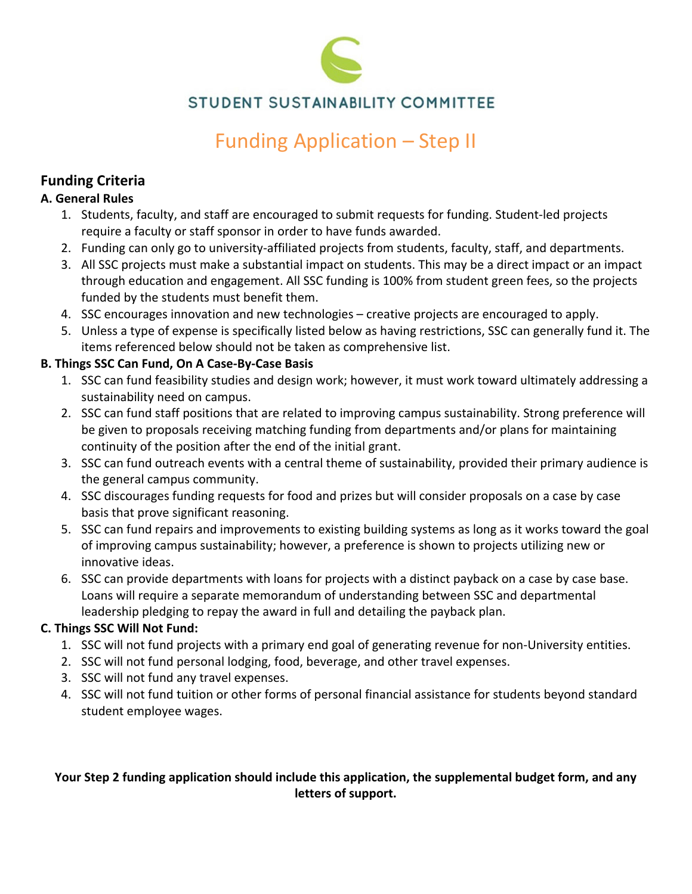

# STUDENT SUSTAINABILITY COMMITTEE

# Funding Application – Step II

# **Funding Criteria**

#### **A. General Rules**

- 1. Students, faculty, and staff are encouraged to submit requests for funding. Student‐led projects require a faculty or staff sponsor in order to have funds awarded.
- 2. Funding can only go to university-affiliated projects from students, faculty, staff, and departments.
- 3. All SSC projects must make a substantial impact on students. This may be a direct impact or an impact through education and engagement. All SSC funding is 100% from student green fees, so the projects funded by the students must benefit them.
- 4. SSC encourages innovation and new technologies creative projects are encouraged to apply.
- 5. Unless a type of expense is specifically listed below as having restrictions, SSC can generally fund it. The items referenced below should not be taken as comprehensive list.

## **B. Things SSC Can Fund, On A Case‐By‐Case Basis**

- 1. SSC can fund feasibility studies and design work; however, it must work toward ultimately addressing a sustainability need on campus.
- 2. SSC can fund staff positions that are related to improving campus sustainability. Strong preference will be given to proposals receiving matching funding from departments and/or plans for maintaining continuity of the position after the end of the initial grant.
- 3. SSC can fund outreach events with a central theme of sustainability, provided their primary audience is the general campus community.
- 4. SSC discourages funding requests for food and prizes but will consider proposals on a case by case basis that prove significant reasoning.
- 5. SSC can fund repairs and improvements to existing building systems as long as it works toward the goal of improving campus sustainability; however, a preference is shown to projects utilizing new or innovative ideas.
- 6. SSC can provide departments with loans for projects with a distinct payback on a case by case base. Loans will require a separate memorandum of understanding between SSC and departmental leadership pledging to repay the award in full and detailing the payback plan.

## **C. Things SSC Will Not Fund:**

- 1. SSC will not fund projects with a primary end goal of generating revenue for non‐University entities.
- 2. SSC will not fund personal lodging, food, beverage, and other travel expenses.
- 3. SSC will not fund any travel expenses.
- 4. SSC will not fund tuition or other forms of personal financial assistance for students beyond standard student employee wages.

# **Your Step 2 funding application should include this application, the supplemental budget form, and any letters of support.**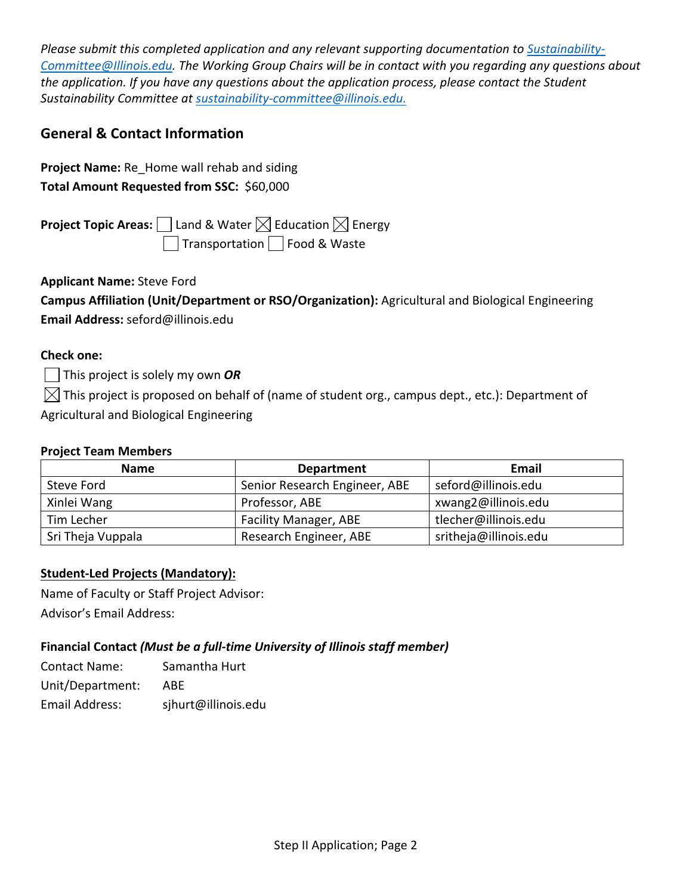*Please submit this completed application and any relevant supporting documentation to Sustainability‐ Committee@Illinois.edu. The Working Group Chairs will be in contact with you regarding any questions about the application. If you have any questions about the application process, please contact the Student Sustainability Committee at sustainability‐committee@illinois.edu.*

# **General & Contact Information**

**Project Name:** Re\_Home wall rehab and siding **Total Amount Requested from SSC:** \$60,000

**Project Topic Areas:**  $\Box$  Land & Water  $\boxtimes$  Education  $\boxtimes$  Energy **Transportation** Food & Waste

**Applicant Name:** Steve Ford

| Campus Affiliation (Unit/Department or RSO/Organization): Agricultural and Biological Engineering |  |
|---------------------------------------------------------------------------------------------------|--|
| Email Address: seford@illinois.edu                                                                |  |

#### **Check one:**

This project is solely my own *OR*

 $\boxtimes$  This project is proposed on behalf of (name of student org., campus dept., etc.): Department of Agricultural and Biological Engineering

#### **Project Team Members**

| <b>Name</b>       | <b>Department</b>             | Email                 |
|-------------------|-------------------------------|-----------------------|
| Steve Ford        | Senior Research Engineer, ABE | seford@illinois.edu   |
| Xinlei Wang       | Professor, ABE                | xwang2@illinois.edu   |
| Tim Lecher        | <b>Facility Manager, ABE</b>  | tlecher@illinois.edu  |
| Sri Theja Vuppala | Research Engineer, ABE        | sritheja@illinois.edu |

#### **Student‐Led Projects (Mandatory):**

Name of Faculty or Staff Project Advisor:

Advisor's Email Address:

#### **Financial Contact** *(Must be a full‐time University of Illinois staff member)*

| <b>Contact Name:</b> | Samantha Hurt       |
|----------------------|---------------------|
| Unit/Department:     | ABE                 |
| Email Address:       | sjhurt@illinois.edu |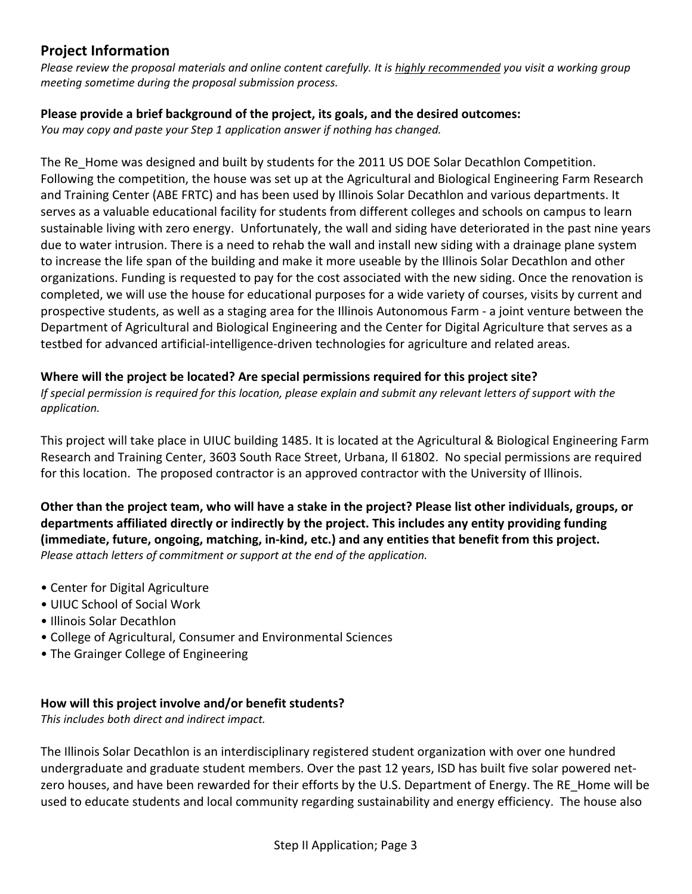# **Project Information**

Please review the proposal materials and online content carefully. It is highly recommended you visit a working group *meeting sometime during the proposal submission process.* 

#### **Please provide a brief background of the project, its goals, and the desired outcomes:**

*You may copy and paste your Step 1 application answer if nothing has changed.*

The Re Home was designed and built by students for the 2011 US DOE Solar Decathlon Competition. Following the competition, the house was set up at the Agricultural and Biological Engineering Farm Research and Training Center (ABE FRTC) and has been used by Illinois Solar Decathlon and various departments. It serves as a valuable educational facility for students from different colleges and schools on campus to learn sustainable living with zero energy. Unfortunately, the wall and siding have deteriorated in the past nine years due to water intrusion. There is a need to rehab the wall and install new siding with a drainage plane system to increase the life span of the building and make it more useable by the Illinois Solar Decathlon and other organizations. Funding is requested to pay for the cost associated with the new siding. Once the renovation is completed, we will use the house for educational purposes for a wide variety of courses, visits by current and prospective students, as well as a staging area for the Illinois Autonomous Farm ‐ a joint venture between the Department of Agricultural and Biological Engineering and the Center for Digital Agriculture that serves as a testbed for advanced artificial‐intelligence‐driven technologies for agriculture and related areas.

#### **Where will the project be located? Are special permissions required for this project site?**

If special permission is required for this location, please explain and submit any relevant letters of support with the *application.*

This project will take place in UIUC building 1485. It is located at the Agricultural & Biological Engineering Farm Research and Training Center, 3603 South Race Street, Urbana, Il 61802. No special permissions are required for this location. The proposed contractor is an approved contractor with the University of Illinois.

Other than the project team, who will have a stake in the project? Please list other individuals, groups, or **departments affiliated directly or indirectly by the project. This includes any entity providing funding (immediate, future, ongoing, matching, in‐kind, etc.) and any entities that benefit from this project.** *Please attach letters of commitment or support at the end of the application.*

- Center for Digital Agriculture
- UIUC School of Social Work
- Illinois Solar Decathlon
- College of Agricultural, Consumer and Environmental Sciences
- The Grainger College of Engineering

#### **How will this project involve and/or benefit students?**

*This includes both direct and indirect impact.*

The Illinois Solar Decathlon is an interdisciplinary registered student organization with over one hundred undergraduate and graduate student members. Over the past 12 years, ISD has built five solar powered net‐ zero houses, and have been rewarded for their efforts by the U.S. Department of Energy. The RE\_Home will be used to educate students and local community regarding sustainability and energy efficiency. The house also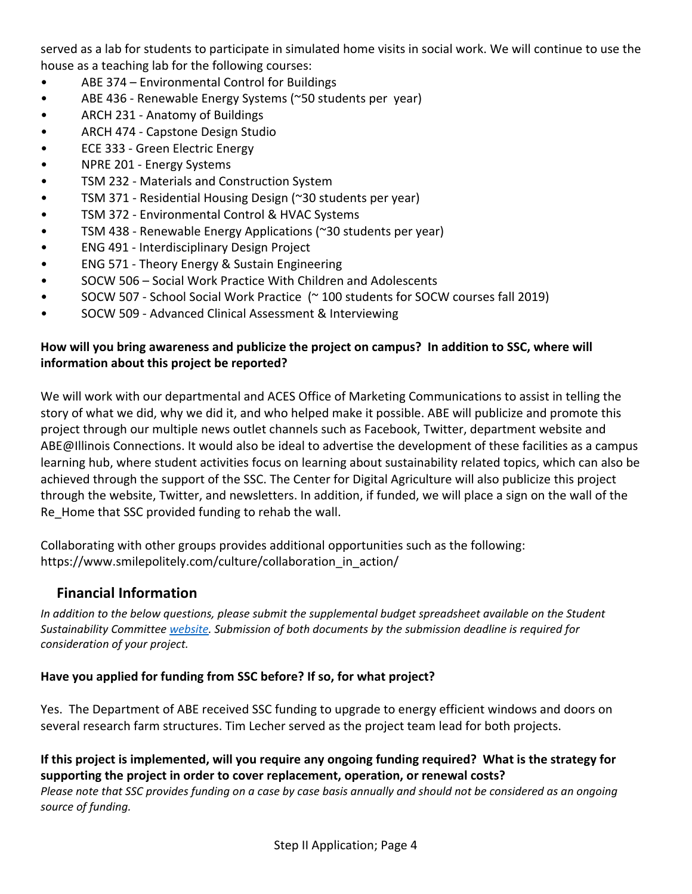served as a lab for students to participate in simulated home visits in social work. We will continue to use the house as a teaching lab for the following courses:

- ABE 374 Environmental Control for Buildings
- ABE 436 Renewable Energy Systems (~50 students per year)
- ARCH 231 Anatomy of Buildings
- ARCH 474 Capstone Design Studio
- **ECE 333 Green Electric Energy**
- NPRE 201 Energy Systems
- TSM 232 ‐ Materials and Construction System
- TSM 371 ‐ Residential Housing Design (~30 students per year)
- TSM 372 Environmental Control & HVAC Systems
- TSM 438 ‐ Renewable Energy Applications (~30 students per year)
- ENG 491 ‐ Interdisciplinary Design Project
- ENG 571 Theory Energy & Sustain Engineering
- SOCW 506 Social Work Practice With Children and Adolescents
- SOCW 507 School Social Work Practice (~100 students for SOCW courses fall 2019)
- SOCW 509 Advanced Clinical Assessment & Interviewing

### **How will you bring awareness and publicize the project on campus? In addition to SSC, where will information about this project be reported?**

We will work with our departmental and ACES Office of Marketing Communications to assist in telling the story of what we did, why we did it, and who helped make it possible. ABE will publicize and promote this project through our multiple news outlet channels such as Facebook, Twitter, department website and ABE@Illinois Connections. It would also be ideal to advertise the development of these facilities as a campus learning hub, where student activities focus on learning about sustainability related topics, which can also be achieved through the support of the SSC. The Center for Digital Agriculture will also publicize this project through the website, Twitter, and newsletters. In addition, if funded, we will place a sign on the wall of the Re\_Home that SSC provided funding to rehab the wall.

Collaborating with other groups provides additional opportunities such as the following: https://www.smilepolitely.com/culture/collaboration\_in\_action/

# **Financial Information**

*In addition to the below questions, please submit the supplemental budget spreadsheet available on the Student Sustainability Committee website. Submission of both documents by the submission deadline is required for consideration of your project.*

#### **Have you applied for funding from SSC before? If so, for what project?**

Yes. The Department of ABE received SSC funding to upgrade to energy efficient windows and doors on several research farm structures. Tim Lecher served as the project team lead for both projects.

#### If this project is implemented, will you require any ongoing funding required? What is the strategy for **supporting the project in order to cover replacement, operation, or renewal costs?**

Please note that SSC provides funding on a case by case basis annually and should not be considered as an ongoing *source of funding.*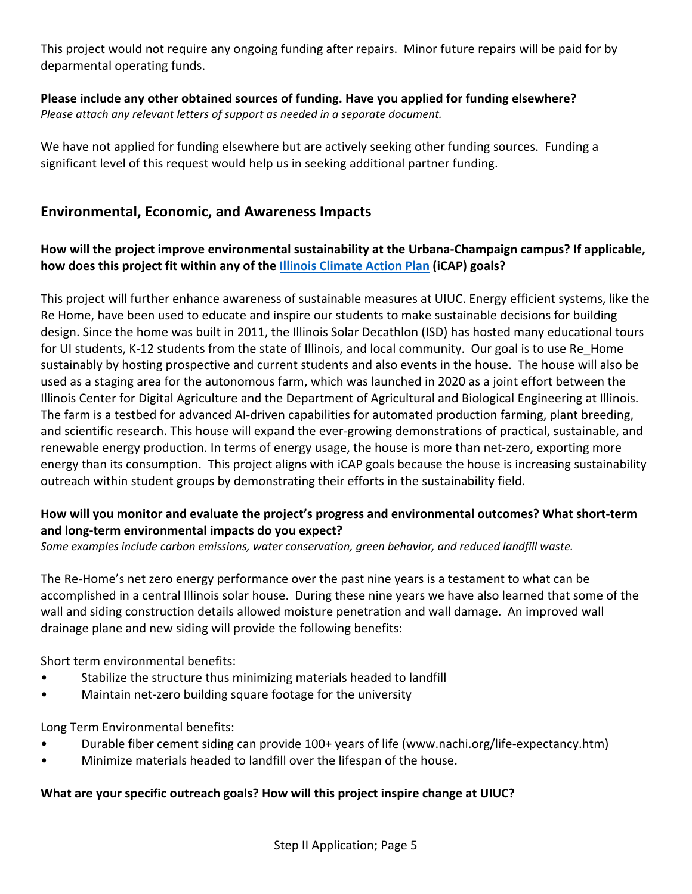This project would not require any ongoing funding after repairs. Minor future repairs will be paid for by deparmental operating funds.

**Please include any other obtained sources of funding. Have you applied for funding elsewhere?** *Please attach any relevant letters of support as needed in a separate document.*

We have not applied for funding elsewhere but are actively seeking other funding sources. Funding a significant level of this request would help us in seeking additional partner funding.

# **Environmental, Economic, and Awareness Impacts**

#### **How will the project improve environmental sustainability at the Urbana‐Champaign campus? If applicable, how does this project fit within any of the Illinois Climate Action Plan (iCAP) goals?**

This project will further enhance awareness of sustainable measures at UIUC. Energy efficient systems, like the Re Home, have been used to educate and inspire our students to make sustainable decisions for building design. Since the home was built in 2011, the Illinois Solar Decathlon (ISD) has hosted many educational tours for UI students, K-12 students from the state of Illinois, and local community. Our goal is to use Re Home sustainably by hosting prospective and current students and also events in the house. The house will also be used as a staging area for the autonomous farm, which was launched in 2020 as a joint effort between the Illinois Center for Digital Agriculture and the Department of Agricultural and Biological Engineering at Illinois. The farm is a testbed for advanced AI‐driven capabilities for automated production farming, plant breeding, and scientific research. This house will expand the ever‐growing demonstrations of practical, sustainable, and renewable energy production. In terms of energy usage, the house is more than net‐zero, exporting more energy than its consumption. This project aligns with iCAP goals because the house is increasing sustainability outreach within student groups by demonstrating their efforts in the sustainability field.

#### **How will you monitor and evaluate the project's progress and environmental outcomes? What short‐term and long‐term environmental impacts do you expect?**

*Some examples include carbon emissions, water conservation, green behavior, and reduced landfill waste.*

The Re‐Home's net zero energy performance over the past nine years is a testament to what can be accomplished in a central Illinois solar house. During these nine years we have also learned that some of the wall and siding construction details allowed moisture penetration and wall damage. An improved wall drainage plane and new siding will provide the following benefits:

Short term environmental benefits:

- Stabilize the structure thus minimizing materials headed to landfill
- Maintain net‐zero building square footage for the university

Long Term Environmental benefits:

- Durable fiber cement siding can provide 100+ years of life (www.nachi.org/life‐expectancy.htm)
- Minimize materials headed to landfill over the lifespan of the house.

#### **What are your specific outreach goals? How will this project inspire change at UIUC?**